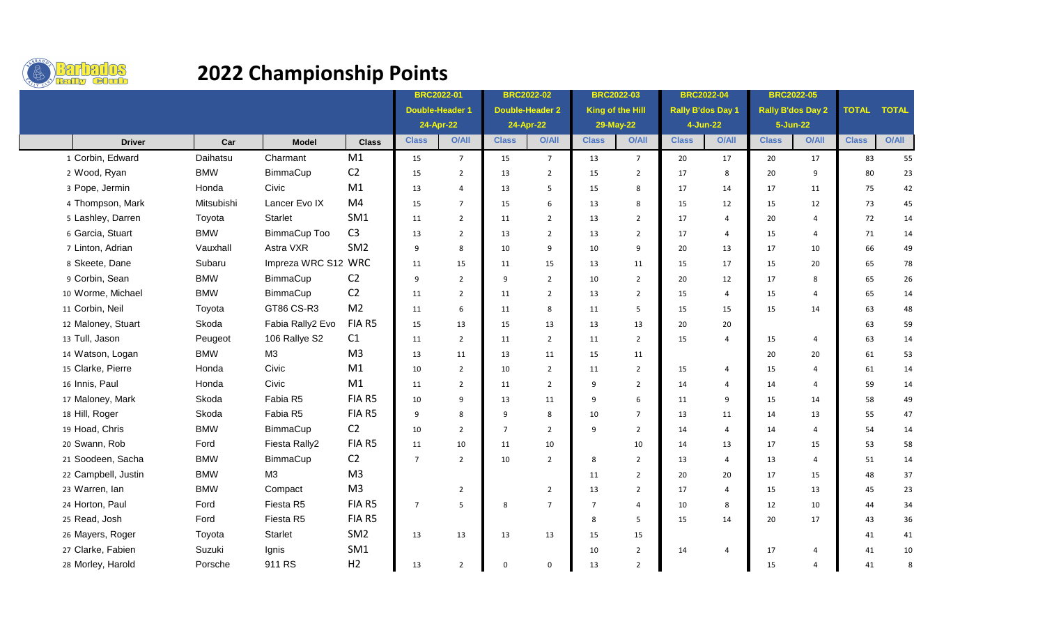

## **2022 Championship Points**

|                     |            |                     |                 | <b>BRC2022-01</b>      |                | <b>BRC2022-02</b>      |                | <b>BRC2022-03</b> |                 | <b>BRC2022-04</b>        |                | <b>BRC2022-05</b>        |                |              |              |
|---------------------|------------|---------------------|-----------------|------------------------|----------------|------------------------|----------------|-------------------|-----------------|--------------------------|----------------|--------------------------|----------------|--------------|--------------|
|                     |            |                     |                 | <b>Double-Header 1</b> |                | <b>Double-Header 2</b> |                | King of the Hill  |                 | <b>Rally B'dos Day 1</b> |                | <b>Rally B'dos Day 2</b> |                | <b>TOTAL</b> | <b>TOTAL</b> |
|                     |            |                     |                 | 24-Apr-22              |                | 24-Apr-22              |                | 29-May-22         |                 | 4-Jun-22                 |                | 5-Jun-22                 |                |              |              |
| <b>Driver</b>       | Car        | <b>Model</b>        | <b>Class</b>    | <b>Class</b>           | O/All          | <b>Class</b>           | O/All          | <b>Class</b>      | <b>O/All</b>    | <b>Class</b>             | <b>O/All</b>   | <b>Class</b>             | <b>O/All</b>   | <b>Class</b> | <b>O/All</b> |
| 1 Corbin, Edward    | Daihatsu   | Charmant            | M1              | 15                     | $\overline{7}$ | 15                     | $\overline{7}$ | 13                | $7\overline{ }$ | 20                       | 17             | 20                       | 17             | 83           | 55           |
| 2 Wood, Ryan        | <b>BMW</b> | BimmaCup            | C <sub>2</sub>  | 15                     | $\overline{2}$ | 13                     | $\overline{2}$ | 15                | $\overline{2}$  | 17                       | 8              | 20                       | 9              | 80           | 23           |
| 3 Pope, Jermin      | Honda      | Civic               | M1              | 13                     | $\overline{4}$ | 13                     | 5              | 15                | 8               | 17                       | 14             | 17                       | 11             | 75           | 42           |
| 4 Thompson, Mark    | Mitsubishi | Lancer Evo IX       | M <sub>4</sub>  | 15                     | $\overline{7}$ | 15                     | 6              | 13                | 8               | 15                       | 12             | 15                       | 12             | 73           | 45           |
| 5 Lashley, Darren   | Toyota     | Starlet             | SM1             | 11                     | $\overline{2}$ | 11                     | $\overline{2}$ | 13                | $\overline{2}$  | 17                       | $\overline{4}$ | 20                       | $\overline{4}$ | 72           | 14           |
| 6 Garcia, Stuart    | <b>BMW</b> | BimmaCup Too        | C <sub>3</sub>  | 13                     | $\overline{2}$ | 13                     | $\overline{2}$ | 13                | $\overline{2}$  | 17                       | $\overline{a}$ | 15                       | $\overline{4}$ | 71           | 14           |
| 7 Linton, Adrian    | Vauxhall   | Astra VXR           | SM <sub>2</sub> | 9                      | 8              | 10                     | 9              | 10                | 9               | 20                       | 13             | 17                       | 10             | 66           | 49           |
| 8 Skeete, Dane      | Subaru     | Impreza WRC S12 WRC |                 | 11                     | 15             | 11                     | 15             | 13                | 11              | 15                       | 17             | 15                       | 20             | 65           | 78           |
| 9 Corbin, Sean      | <b>BMW</b> | BimmaCup            | C <sub>2</sub>  | 9                      | $\overline{2}$ | 9                      | $\overline{2}$ | 10                | $\overline{2}$  | 20                       | 12             | 17                       | 8              | 65           | 26           |
| 10 Worme, Michael   | <b>BMW</b> | BimmaCup            | C <sub>2</sub>  | 11                     | 2              | 11                     | 2              | 13                | 2               | 15                       | 4              | 15                       | $\overline{4}$ | 65           | 14           |
| 11 Corbin, Neil     | Toyota     | GT86 CS-R3          | M <sub>2</sub>  | 11                     | 6              | 11                     | 8              | 11                | 5               | 15                       | 15             | 15                       | 14             | 63           | 48           |
| 12 Maloney, Stuart  | Skoda      | Fabia Rally2 Evo    | FIA R5          | 15                     | 13             | 15                     | 13             | 13                | 13              | 20                       | 20             |                          |                | 63           | 59           |
| 13 Tull, Jason      | Peugeot    | 106 Rallye S2       | C1              | 11                     | $\overline{2}$ | 11                     | $\overline{2}$ | 11                | $\overline{2}$  | 15                       | 4              | 15                       | $\overline{4}$ | 63           | 14           |
| 14 Watson, Logan    | <b>BMW</b> | M3                  | M <sub>3</sub>  | 13                     | 11             | 13                     | 11             | 15                | 11              |                          |                | 20                       | 20             | 61           | 53           |
| 15 Clarke, Pierre   | Honda      | Civic               | M1              | 10                     | $\overline{2}$ | 10                     | $\overline{2}$ | 11                | $\overline{2}$  | 15                       | 4              | 15                       | $\overline{4}$ | 61           | 14           |
| 16 Innis, Paul      | Honda      | Civic               | M1              | 11                     | $\overline{2}$ | 11                     | $\overline{2}$ | 9                 | $\overline{2}$  | 14                       | 4              | 14                       | 4              | 59           | 14           |
| 17 Maloney, Mark    | Skoda      | Fabia R5            | FIA R5          | 10                     | 9              | 13                     | 11             | 9                 | 6               | 11                       | 9              | 15                       | 14             | 58           | 49           |
| 18 Hill, Roger      | Skoda      | Fabia R5            | FIA R5          | 9                      | 8              | 9                      | 8              | 10                | $\overline{7}$  | 13                       | 11             | 14                       | 13             | 55           | 47           |
| 19 Hoad, Chris      | <b>BMW</b> | BimmaCup            | C <sub>2</sub>  | 10                     | $\overline{2}$ | $\overline{7}$         | $\overline{2}$ | 9                 | $\overline{2}$  | 14                       | 4              | 14                       | $\overline{4}$ | 54           | 14           |
| 20 Swann, Rob       | Ford       | Fiesta Rally2       | FIA R5          | 11                     | 10             | 11                     | 10             |                   | 10              | 14                       | 13             | 17                       | 15             | 53           | 58           |
| 21 Soodeen, Sacha   | <b>BMW</b> | BimmaCup            | C <sub>2</sub>  | $\overline{7}$         | $\overline{2}$ | 10                     | $\overline{2}$ | 8                 | $\overline{2}$  | 13                       | 4              | 13                       | $\overline{4}$ | 51           | 14           |
| 22 Campbell, Justin | <b>BMW</b> | M3                  | M <sub>3</sub>  |                        |                |                        |                | 11                | $\overline{2}$  | 20                       | 20             | 17                       | 15             | 48           | 37           |
| 23 Warren, Ian      | <b>BMW</b> | Compact             | M <sub>3</sub>  |                        | $\overline{2}$ |                        | $\overline{2}$ | 13                | $\overline{2}$  | 17                       | 4              | 15                       | 13             | 45           | 23           |
| 24 Horton, Paul     | Ford       | Fiesta R5           | FIA R5          | $\overline{7}$         | 5              | 8                      | $\overline{7}$ | $\overline{7}$    | $\overline{4}$  | 10                       | 8              | 12                       | 10             | 44           | 34           |
| 25 Read, Josh       | Ford       | Fiesta R5           | FIA R5          |                        |                |                        |                | 8                 | 5               | 15                       | 14             | 20                       | 17             | 43           | 36           |
| 26 Mayers, Roger    | Toyota     | <b>Starlet</b>      | SM <sub>2</sub> | 13                     | 13             | 13                     | 13             | 15                | 15              |                          |                |                          |                | 41           | 41           |
| 27 Clarke, Fabien   | Suzuki     | Ignis               | SM1             |                        |                |                        |                | 10                | $\overline{2}$  | 14                       | $\overline{a}$ | 17                       | 4              | 41           | 10           |
| 28 Morley, Harold   | Porsche    | 911 RS              | H <sub>2</sub>  | 13                     | $\overline{2}$ | $\mathbf 0$            | $\mathbf 0$    | 13                | $\overline{2}$  |                          |                | 15                       | $\overline{4}$ | 41           | 8            |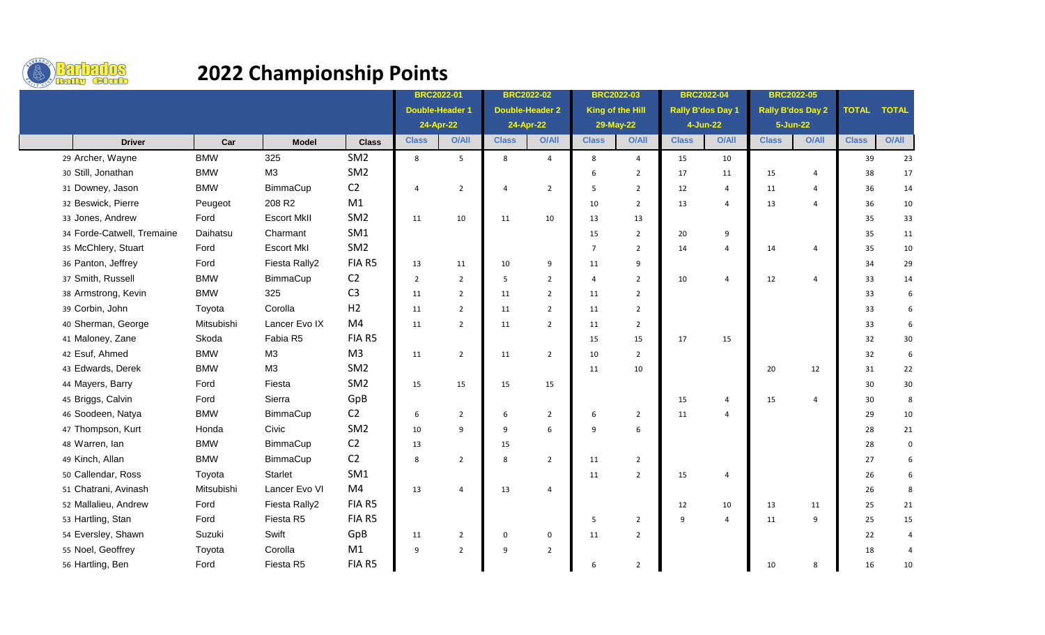

## **2022 Championship Points**

|                            |            |                    |                 | <b>BRC2022-01</b>      |                | <b>BRC2022-02</b> |                        | <b>BRC2022-03</b> |                | <b>BRC2022-04</b>        |                | <b>BRC2022-05</b>        |                |              |                     |
|----------------------------|------------|--------------------|-----------------|------------------------|----------------|-------------------|------------------------|-------------------|----------------|--------------------------|----------------|--------------------------|----------------|--------------|---------------------|
|                            |            |                    |                 | <b>Double-Header 1</b> |                |                   | <b>Double-Header 2</b> | King of the Hill  |                | <b>Rally B'dos Day 1</b> |                | <b>Rally B'dos Day 2</b> |                | <b>TOTAL</b> | <b>TOTAL</b>        |
|                            |            |                    |                 | 24-Apr-22              |                | 24-Apr-22         |                        | 29-May-22         |                | 4-Jun-22                 |                | 5-Jun-22                 |                |              |                     |
| <b>Driver</b>              | Car        | <b>Model</b>       | <b>Class</b>    | <b>Class</b>           | <b>O/All</b>   | <b>Class</b>      | O/All                  | <b>Class</b>      | <b>O/All</b>   | <b>Class</b>             | O/All          | <b>Class</b>             | O/All          | <b>Class</b> | <b>O/All</b>        |
| 29 Archer, Wayne           | <b>BMW</b> | 325                | SM <sub>2</sub> | 8                      | 5              | 8                 | $\overline{4}$         | 8                 | $\overline{4}$ | 15                       | 10             |                          |                | 39           | 23                  |
| 30 Still, Jonathan         | <b>BMW</b> | M <sub>3</sub>     | SM <sub>2</sub> |                        |                |                   |                        | 6                 | $\overline{2}$ | 17                       | 11             | 15                       | $\overline{4}$ | 38           | 17                  |
| 31 Downey, Jason           | <b>BMW</b> | BimmaCup           | C <sub>2</sub>  | $\overline{4}$         | $\overline{2}$ | 4                 | $\overline{2}$         | 5                 | $\overline{2}$ | 12                       | $\overline{4}$ | 11                       | $\overline{4}$ | 36           | 14                  |
| 32 Beswick, Pierre         | Peugeot    | 208 R <sub>2</sub> | M1              |                        |                |                   |                        | 10                | $\overline{2}$ | 13                       | 4              | 13                       | $\overline{4}$ | 36           | 10                  |
| 33 Jones, Andrew           | Ford       | <b>Escort MkII</b> | SM <sub>2</sub> | 11                     | 10             | 11                | 10                     | 13                | 13             |                          |                |                          |                | 35           | 33                  |
| 34 Forde-Catwell, Tremaine | Daihatsu   | Charmant           | SM1             |                        |                |                   |                        | 15                | $\overline{2}$ | 20                       | 9              |                          |                | 35           | 11                  |
| 35 McChlery, Stuart        | Ford       | <b>Escort MkI</b>  | SM <sub>2</sub> |                        |                |                   |                        | $\overline{7}$    | $\overline{2}$ | 14                       | $\overline{4}$ | 14                       | $\overline{4}$ | 35           | 10                  |
| 36 Panton, Jeffrey         | Ford       | Fiesta Rally2      | FIA R5          | 13                     | 11             | 10                | 9                      | 11                | 9              |                          |                |                          |                | 34           | 29                  |
| 37 Smith, Russell          | <b>BMW</b> | BimmaCup           | C <sub>2</sub>  | $\overline{2}$         | $\overline{2}$ | 5                 | $\overline{2}$         | 4                 | $\overline{2}$ | 10                       | 4              | 12                       | $\overline{4}$ | 33           | 14                  |
| 38 Armstrong, Kevin        | <b>BMW</b> | 325                | C <sub>3</sub>  | 11                     | $\overline{2}$ | 11                | $\overline{2}$         | 11                | $\overline{2}$ |                          |                |                          |                | 33           | 6                   |
| 39 Corbin, John            | Toyota     | Corolla            | H <sub>2</sub>  | 11                     | $\overline{2}$ | 11                | $\overline{2}$         | 11                | $\overline{2}$ |                          |                |                          |                | 33           | 6                   |
| 40 Sherman, George         | Mitsubishi | Lancer Evo IX      | M <sub>4</sub>  | 11                     | $\overline{2}$ | 11                | $\overline{2}$         | 11                | $\overline{2}$ |                          |                |                          |                | 33           | 6                   |
| 41 Maloney, Zane           | Skoda      | Fabia R5           | FIA R5          |                        |                |                   |                        | 15                | 15             | 17                       | 15             |                          |                | 32           | 30                  |
| 42 Esuf, Ahmed             | <b>BMW</b> | M <sub>3</sub>     | M <sub>3</sub>  | 11                     | $\overline{2}$ | 11                | $\overline{2}$         | 10                | $\overline{2}$ |                          |                |                          |                | 32           | 6                   |
| 43 Edwards, Derek          | <b>BMW</b> | M <sub>3</sub>     | SM <sub>2</sub> |                        |                |                   |                        | 11                | 10             |                          |                | 20                       | 12             | 31           | 22                  |
| 44 Mayers, Barry           | Ford       | Fiesta             | SM <sub>2</sub> | 15                     | 15             | 15                | 15                     |                   |                |                          |                |                          |                | 30           | 30                  |
| 45 Briggs, Calvin          | Ford       | Sierra             | GpB             |                        |                |                   |                        |                   |                | 15                       | 4              | 15                       | $\overline{4}$ | 30           | $\,$ 8              |
| 46 Soodeen, Natya          | <b>BMW</b> | BimmaCup           | C <sub>2</sub>  | 6                      | $\overline{2}$ | 6                 | $\overline{2}$         | 6                 | $\overline{2}$ | 11                       | $\overline{4}$ |                          |                | 29           | 10                  |
| 47 Thompson, Kurt          | Honda      | Civic              | SM <sub>2</sub> | 10                     | 9              | 9                 | 6                      | 9                 | 6              |                          |                |                          |                | 28           | 21                  |
| 48 Warren, Ian             | <b>BMW</b> | BimmaCup           | C <sub>2</sub>  | 13                     |                | 15                |                        |                   |                |                          |                |                          |                | 28           | $\mathsf{O}\xspace$ |
| 49 Kinch, Allan            | <b>BMW</b> | BimmaCup           | C <sub>2</sub>  | 8                      | $\overline{2}$ | 8                 | $\overline{2}$         | 11                | $\overline{2}$ |                          |                |                          |                | 27           | 6                   |
| 50 Callendar, Ross         | Toyota     | Starlet            | SM <sub>1</sub> |                        |                |                   |                        | 11                | $\overline{2}$ | 15                       | 4              |                          |                | 26           | 6                   |
| 51 Chatrani, Avinash       | Mitsubishi | Lancer Evo VI      | M <sub>4</sub>  | 13                     | $\overline{4}$ | 13                | $\overline{4}$         |                   |                |                          |                |                          |                | 26           | $\,$ 8              |
| 52 Mallalieu, Andrew       | Ford       | Fiesta Rally2      | FIA R5          |                        |                |                   |                        |                   |                | 12                       | 10             | 13                       | 11             | 25           | 21                  |
| 53 Hartling, Stan          | Ford       | Fiesta R5          | FIA R5          |                        |                |                   |                        | 5                 | $\overline{2}$ | 9                        | $\overline{4}$ | 11                       | 9              | 25           | 15                  |
| 54 Eversley, Shawn         | Suzuki     | Swift              | GpB             | 11                     | $\overline{2}$ | $\mathbf 0$       | 0                      | 11                | $\overline{2}$ |                          |                |                          |                | 22           | $\overline{4}$      |
| 55 Noel, Geoffrey          | Toyota     | Corolla            | M1              | 9                      | $\overline{2}$ | 9                 | $\overline{2}$         |                   |                |                          |                |                          |                | 18           | $\overline{4}$      |
| 56 Hartling, Ben           | Ford       | Fiesta R5          | FIA R5          |                        |                |                   |                        | 6                 | $\overline{2}$ |                          |                | 10                       | 8              | 16           | 10                  |